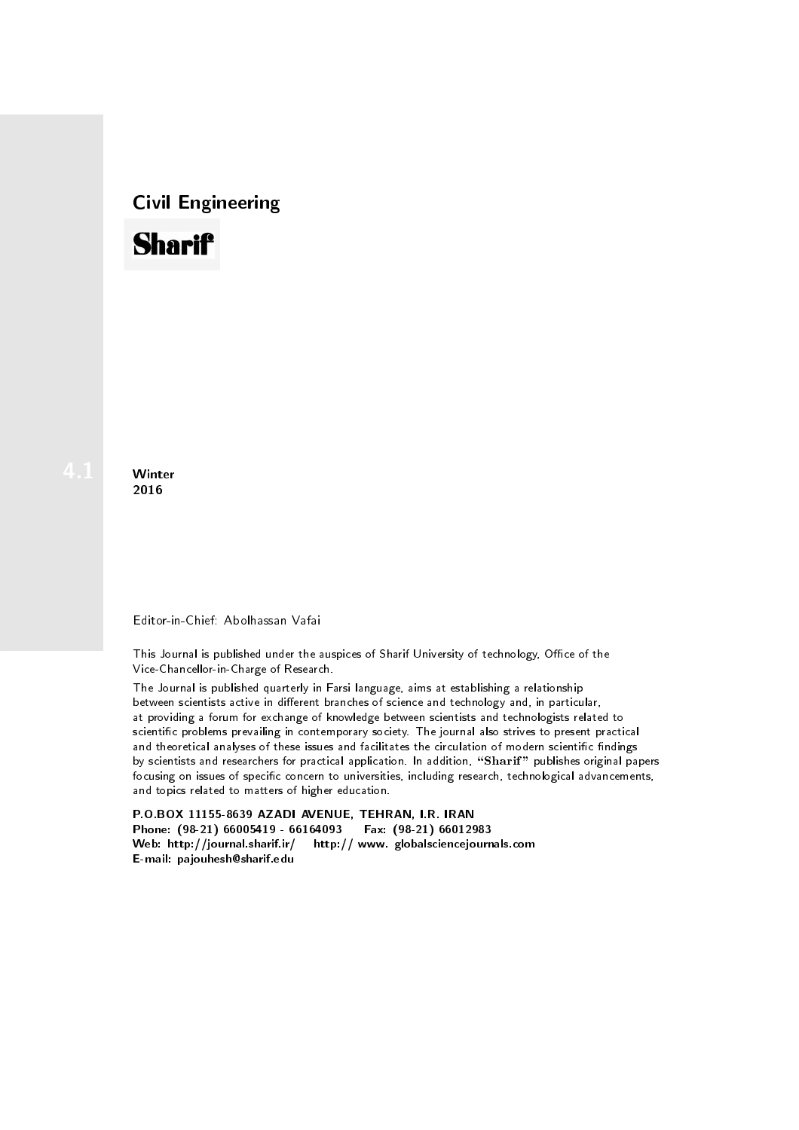## Civil Engineering



**Winter** 2016

## Editor-in-Chief: Abolhassan Vafai

This Journal is published under the auspices of Sharif University of technology, Office of the Vice-Chancellor-in-Charge of Research.

The Journal is published quarterly in Farsi language, aims at establishing a relationship between scientists active in different branches of science and technology and, in particular, at providing a forum for exchange of knowledge between scientists and technologists related to scientic problems prevailing in contemporary society. The journal also strives to present practical and theoretical analyses of these issues and facilitates the circulation of modern scientific findings by scientists and researchers for practical application. In addition, "Sharif" publishes original papers focusing on issues of specific concern to universities, including research, technological advancements, and topics related to matters of higher education.

P.O.BOX 11155-8639 AZADI AVENUE, TEHRAN, I.R. IRAN Phone: (98-21) 66005419 - 66164093 Fax: (98-21) 66012983 Web: http://journal.sharif.ir/ http:// www. globalsciencejournals.com E-mail: pajouhesh@sharif.edu